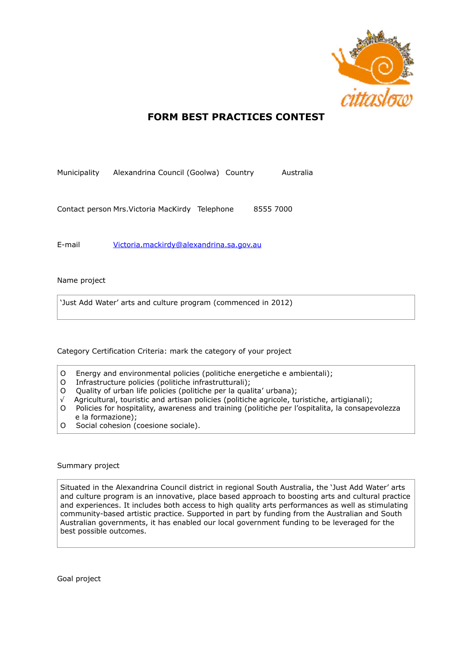

# **FORM BEST PRACTICES CONTEST**

Municipality Alexandrina Council (Goolwa) Country Australia

Contact person Mrs.Victoria MacKirdy Telephone 8555 7000

E-mail [Victoria.mackirdy@alexandrina.sa.gov.au](mailto:Victoria.mackirdy@alexandrina.sa.gov.au) 

## Name project

'Just Add Water' arts and culture program (commenced in 2012)

Category Certification Criteria: mark the category of your project

- O Energy and environmental policies (politiche energetiche e ambientali);
- O Infrastructure policies (politiche infrastrutturali);
- O Quality of urban life policies (politiche per la qualita' urbana);
- √ Agricultural, touristic and artisan policies (politiche agricole, turistiche, artigianali);
- O Policies for hospitality, awareness and training (politiche per l'ospitalita, la consapevolezza e la formazione);
- O Social cohesion (coesione sociale).

### Summary project

Situated in the Alexandrina Council district in regional South Australia, the 'Just Add Water' arts and culture program is an innovative, place based approach to boosting arts and cultural practice and experiences. It includes both access to high quality arts performances as well as stimulating community-based artistic practice. Supported in part by funding from the Australian and South Australian governments, it has enabled our local government funding to be leveraged for the best possible outcomes.

Goal project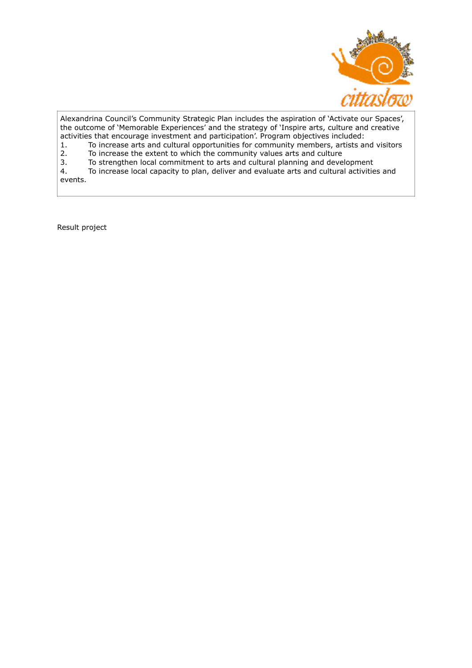

Alexandrina Council's Community Strategic Plan includes the aspiration of 'Activate our Spaces', the outcome of 'Memorable Experiences' and the strategy of 'Inspire arts, culture and creative activities that encourage investment and participation'. Program objectives included:

1. To increase arts and cultural opportunities for community members, artists and visitors<br>2. To increase the extent to which the community values arts and culture 2. To increase the extent to which the community values arts and culture<br>3. To strengthen local commitment to arts and cultural planning and deve

3. To strengthen local commitment to arts and cultural planning and development<br>4. To increase local capacity to plan, deliver and evaluate arts and cultural activities

To increase local capacity to plan, deliver and evaluate arts and cultural activities and events.

Result project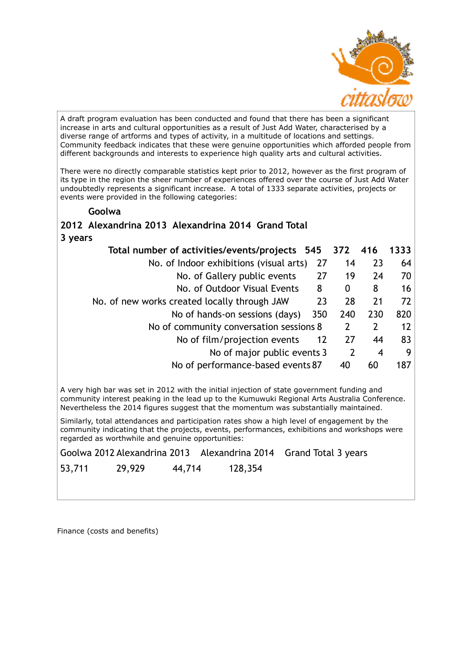

A draft program evaluation has been conducted and found that there has been a significant increase in arts and cultural opportunities as a result of Just Add Water, characterised by a diverse range of artforms and types of activity, in a multitude of locations and settings. Community feedback indicates that these were genuine opportunities which afforded people from different backgrounds and interests to experience high quality arts and cultural activities.

There were no directly comparable statistics kept prior to 2012, however as the first program of its type in the region the sheer number of experiences offered over the course of Just Add Water undoubtedly represents a significant increase. A total of 1333 separate activities, projects or events were provided in the following categories:

## **Goolwa**

# **2012 Alexandrina 2013 Alexandrina 2014 Grand Total 3 years**

| Total number of activities/events/projects 545 372 |     |     | 416 | 1333 |
|----------------------------------------------------|-----|-----|-----|------|
| No. of Indoor exhibitions (visual arts)            | 27  | 14  | 23  | 64   |
| No. of Gallery public events                       | 27  | 19  | 24  | 70   |
| No. of Outdoor Visual Events                       | 8   | 0   | 8   | 16   |
| No. of new works created locally through JAW       | 23  | 28  | 21  | 72   |
| No of hands-on sessions (days)                     | 350 | 240 | 230 | 820  |
| No of community conversation sessions 8            |     | 2   |     | 12   |
| No of film/projection events                       | 12  | 27  | 44  | 83   |
| No of major public events 3                        |     |     | 4   | 9    |
| No of performance-based events 87                  |     | 40  | 60  | 187  |

A very high bar was set in 2012 with the initial injection of state government funding and community interest peaking in the lead up to the Kumuwuki Regional Arts Australia Conference. Nevertheless the 2014 figures suggest that the momentum was substantially maintained.

Similarly, total attendances and participation rates show a high level of engagement by the community indicating that the projects, events, performances, exhibitions and workshops were regarded as worthwhile and genuine opportunities:

Goolwa 2012 Alexandrina 2013 Alexandrina 2014 Grand Total 3 years

53,711 29,929 44,714 128,354

Finance (costs and benefits)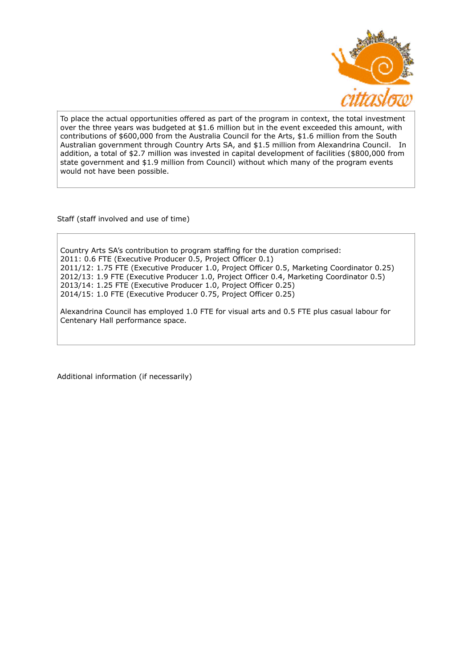

To place the actual opportunities offered as part of the program in context, the total investment over the three years was budgeted at \$1.6 million but in the event exceeded this amount, with contributions of \$600,000 from the Australia Council for the Arts, \$1.6 million from the South Australian government through Country Arts SA, and \$1.5 million from Alexandrina Council. In addition, a total of \$2.7 million was invested in capital development of facilities (\$800,000 from state government and \$1.9 million from Council) without which many of the program events would not have been possible.

Staff (staff involved and use of time)

Country Arts SA's contribution to program staffing for the duration comprised: 2011: 0.6 FTE (Executive Producer 0.5, Project Officer 0.1) 2011/12: 1.75 FTE (Executive Producer 1.0, Project Officer 0.5, Marketing Coordinator 0.25) 2012/13: 1.9 FTE (Executive Producer 1.0, Project Officer 0.4, Marketing Coordinator 0.5) 2013/14: 1.25 FTE (Executive Producer 1.0, Project Officer 0.25) 2014/15: 1.0 FTE (Executive Producer 0.75, Project Officer 0.25)

Alexandrina Council has employed 1.0 FTE for visual arts and 0.5 FTE plus casual labour for Centenary Hall performance space.

Additional information (if necessarily)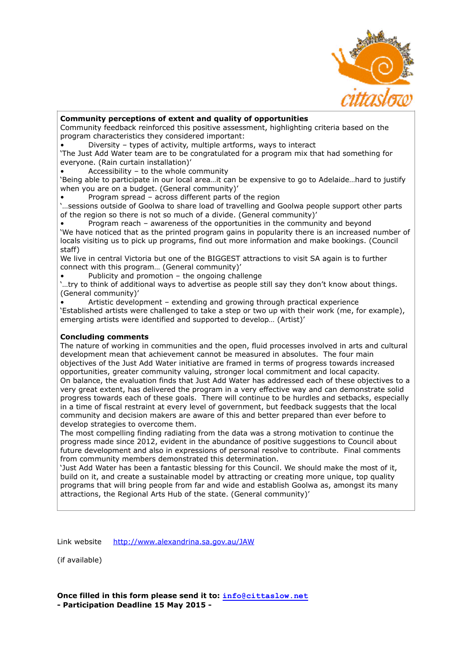

### **Community perceptions of extent and quality of opportunities**

Community feedback reinforced this positive assessment, highlighting criteria based on the program characteristics they considered important:

• Diversity – types of activity, multiple artforms, ways to interact

'The Just Add Water team are to be congratulated for a program mix that had something for everyone. (Rain curtain installation)'

Accessibility – to the whole community

'Being able to participate in our local area…it can be expensive to go to Adelaide…hard to justify when you are on a budget. (General community)'

• Program spread – across different parts of the region

'…sessions outside of Goolwa to share load of travelling and Goolwa people support other parts of the region so there is not so much of a divide. (General community)'

• Program reach – awareness of the opportunities in the community and beyond 'We have noticed that as the printed program gains in popularity there is an increased number of locals visiting us to pick up programs, find out more information and make bookings. (Council staff)

We live in central Victoria but one of the BIGGEST attractions to visit SA again is to further connect with this program… (General community)'

Publicity and promotion  $-$  the ongoing challenge

'…try to think of additional ways to advertise as people still say they don't know about things. (General community)'

• Artistic development – extending and growing through practical experience 'Established artists were challenged to take a step or two up with their work (me, for example), emerging artists were identified and supported to develop… (Artist)'

## **Concluding comments**

The nature of working in communities and the open, fluid processes involved in arts and cultural development mean that achievement cannot be measured in absolutes. The four main objectives of the Just Add Water initiative are framed in terms of progress towards increased opportunities, greater community valuing, stronger local commitment and local capacity. On balance, the evaluation finds that Just Add Water has addressed each of these objectives to a very great extent, has delivered the program in a very effective way and can demonstrate solid progress towards each of these goals. There will continue to be hurdles and setbacks, especially in a time of fiscal restraint at every level of government, but feedback suggests that the local community and decision makers are aware of this and better prepared than ever before to develop strategies to overcome them.

The most compelling finding radiating from the data was a strong motivation to continue the progress made since 2012, evident in the abundance of positive suggestions to Council about future development and also in expressions of personal resolve to contribute. Final comments from community members demonstrated this determination.

'Just Add Water has been a fantastic blessing for this Council. We should make the most of it, build on it, and create a sustainable model by attracting or creating more unique, top quality programs that will bring people from far and wide and establish Goolwa as, amongst its many attractions, the Regional Arts Hub of the state. (General community)'

Link website <http://www.alexandrina.sa.gov.au/JAW>

(if available)

**Once filled in this form please send it to: [info@cittaslow.net](mailto:info@cittaslow.net) - Participation Deadline 15 May 2015 -**